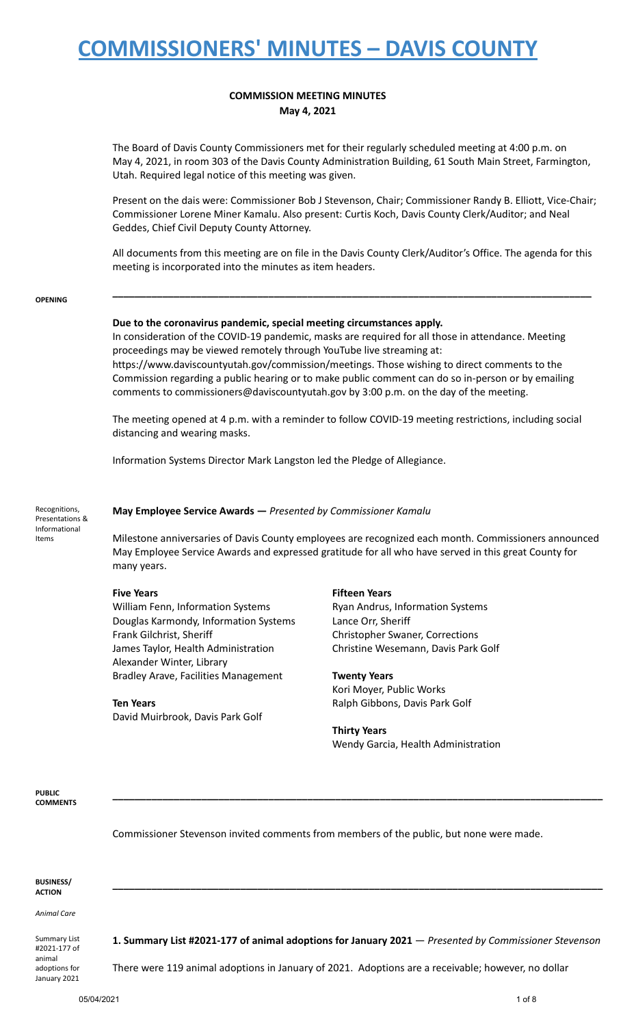## **COMMISSION MEETING MINUTES May 4, 2021**

The Board of Davis County Commissioners met for their regularly scheduled meeting at 4:00 p.m. on May 4, 2021, in room 303 of the Davis County Administration Building, 61 South Main Street, Farmington, Utah. Required legal notice of this meeting was given.

Present on the dais were: Commissioner Bob J Stevenson, Chair; Commissioner Randy B. Elliott, Vice-Chair; Commissioner Lorene Miner Kamalu. Also present: Curtis Koch, Davis County Clerk/Auditor; and Neal Geddes, Chief Civil Deputy County Attorney.

All documents from this meeting are on file in the Davis County Clerk/Auditor's Office. The agenda for this meeting is incorporated into the minutes as item headers.

**\_\_\_\_\_\_\_\_\_\_\_\_\_\_\_\_\_\_\_\_\_\_\_\_\_\_\_\_\_\_\_\_\_\_\_\_\_\_\_\_\_\_\_\_\_\_\_\_\_\_\_\_\_\_\_\_\_\_\_\_\_\_\_\_\_\_\_\_\_\_\_\_\_\_\_\_\_\_\_\_\_\_\_\_\_\_**

**OPENING**

### **Due to the coronavirus pandemic, special meeting circumstances apply.**

In consideration of the COVID-19 pandemic, masks are required for all those in attendance. Meeting proceedings may be viewed remotely through YouTube live streaming at: https://www.daviscountyutah.gov/commission/meetings. Those wishing to direct comments to the

Commission regarding a public hearing or to make public comment can do so in-person or by emailing comments to commissioners@daviscountyutah.gov by 3:00 p.m. on the day of the meeting.

The meeting opened at 4 p.m. with a reminder to follow COVID-19 meeting restrictions, including social distancing and wearing masks.

Information Systems Director Mark Langston led the Pledge of Allegiance.

Recognitions, Presentations & Informational Items

**May Employee Service Awards —** *Presented by Commissioner Kamalu*

Milestone anniversaries of Davis County employees are recognized each month. Commissioners announced May Employee Service Awards and expressed gratitude for all who have served in this great County for many years.

William Fenn, Information Systems **Ryan Andrus, Information Systems** Douglas Karmondy, Information Systems Lance Orr, Sheriff Frank Gilchrist, Sheriff Christopher Swaner, Corrections James Taylor, Health Administration Christine Wesemann, Davis Park Golf Alexander Winter, Library Bradley Arave, Facilities Management **Twenty Years**

David Muirbrook, Davis Park Golf

### **Five Years Fifteen Years**

Kori Moyer, Public Works **Ten Years Ralph Gibbons, Davis Park Golf Ralph Gibbons**, Davis Park Golf

### **Thirty Years**

**\_\_\_\_\_\_\_\_\_\_\_\_\_\_\_\_\_\_\_\_\_\_\_\_\_\_\_\_\_\_\_\_\_\_\_\_\_\_\_\_\_\_\_\_\_\_\_\_\_\_\_\_\_\_\_\_\_\_\_\_\_\_\_\_\_\_\_\_\_\_\_\_\_\_\_\_\_\_\_\_\_\_\_\_\_\_\_\_**

Wendy Garcia, Health Administration

**PUBLIC COMMENTS**

Commissioner Stevenson invited comments from members of the public, but none were made.

| <b>BUSINESS/</b><br><b>ACTION</b>             |                                                                                                        |
|-----------------------------------------------|--------------------------------------------------------------------------------------------------------|
| Animal Care                                   |                                                                                                        |
| <b>Summary List</b><br>#2021-177 of<br>animal | 1. Summary List #2021-177 of animal adoptions for January 2021 $-$ Presented by Commissioner Stevenson |

animal adoptions for January 2021

There were 119 animal adoptions in January of 2021. Adoptions are a receivable; however, no dollar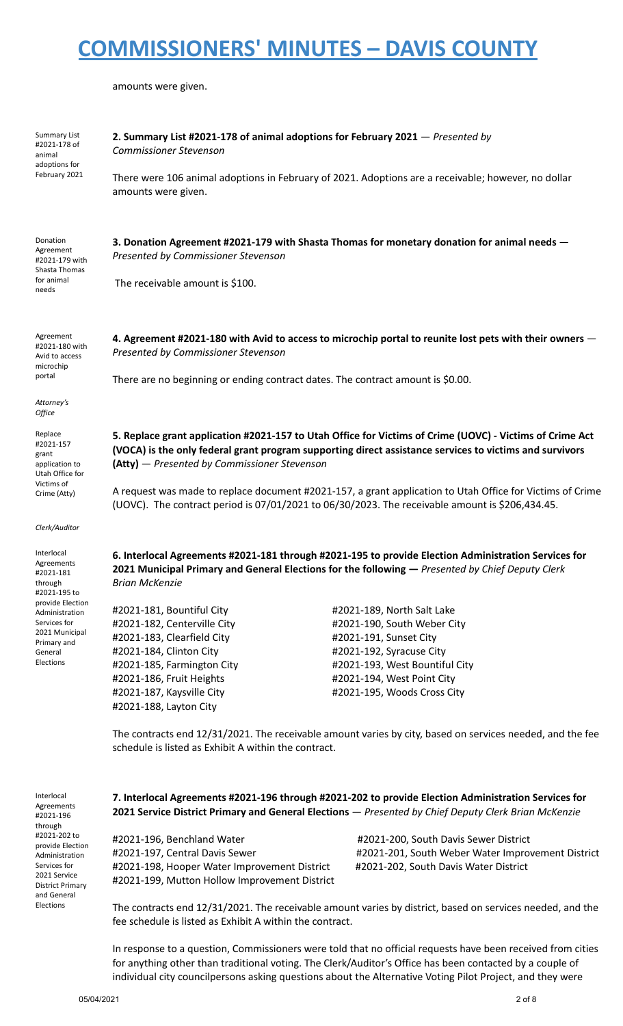amounts were given.

| Summary List<br>#2021-178 of<br>animal                                  | 2. Summary List #2021-178 of animal adoptions for February 2021 - Presented by<br><b>Commissioner Stevenson</b>                                                                                                                                                     |                                                                                                      |  |  |
|-------------------------------------------------------------------------|---------------------------------------------------------------------------------------------------------------------------------------------------------------------------------------------------------------------------------------------------------------------|------------------------------------------------------------------------------------------------------|--|--|
| adoptions for<br>February 2021                                          | amounts were given.                                                                                                                                                                                                                                                 | There were 106 animal adoptions in February of 2021. Adoptions are a receivable; however, no dollar  |  |  |
| Donation<br>Agreement<br>#2021-179 with<br>Shasta Thomas                | 3. Donation Agreement #2021-179 with Shasta Thomas for monetary donation for animal needs -<br>Presented by Commissioner Stevenson                                                                                                                                  |                                                                                                      |  |  |
| for animal<br>needs                                                     | The receivable amount is \$100.                                                                                                                                                                                                                                     |                                                                                                      |  |  |
| Agreement<br>#2021-180 with<br>Avid to access<br>microchip              | 4. Agreement #2021-180 with Avid to access to microchip portal to reunite lost pets with their owners -<br>Presented by Commissioner Stevenson                                                                                                                      |                                                                                                      |  |  |
| portal                                                                  |                                                                                                                                                                                                                                                                     | There are no beginning or ending contract dates. The contract amount is \$0.00.                      |  |  |
| Attorney's<br>Office                                                    |                                                                                                                                                                                                                                                                     |                                                                                                      |  |  |
| Replace<br>#2021-157<br>grant<br>application to<br>Utah Office for      | 5. Replace grant application #2021-157 to Utah Office for Victims of Crime (UOVC) - Victims of Crime Act<br>(VOCA) is the only federal grant program supporting direct assistance services to victims and survivors<br>(Atty) - Presented by Commissioner Stevenson |                                                                                                      |  |  |
| Victims of<br>Crime (Atty)                                              | A request was made to replace document #2021-157, a grant application to Utah Office for Victims of Crime<br>(UOVC). The contract period is 07/01/2021 to 06/30/2023. The receivable amount is \$206,434.45.                                                        |                                                                                                      |  |  |
| Clerk/Auditor                                                           |                                                                                                                                                                                                                                                                     |                                                                                                      |  |  |
| Interlocal<br><b>Agreements</b><br>#2021-181<br>through<br>#2021-195 to | 6. Interlocal Agreements #2021-181 through #2021-195 to provide Election Administration Services for<br>2021 Municipal Primary and General Elections for the following - Presented by Chief Deputy Clerk<br><b>Brian McKenzie</b>                                   |                                                                                                      |  |  |
| provide Election<br>Administration                                      | #2021-181, Bountiful City                                                                                                                                                                                                                                           | #2021-189, North Salt Lake                                                                           |  |  |
| Services for                                                            | #2021-182, Centerville City                                                                                                                                                                                                                                         | #2021-190, South Weber City                                                                          |  |  |
| 2021 Municipal<br>Primary and                                           | #2021-183, Clearfield City                                                                                                                                                                                                                                          | #2021-191, Sunset City                                                                               |  |  |
| General                                                                 | #2021-184, Clinton City                                                                                                                                                                                                                                             | #2021-192, Syracuse City                                                                             |  |  |
| Elections                                                               | #2021-185, Farmington City                                                                                                                                                                                                                                          | #2021-193, West Bountiful City                                                                       |  |  |
|                                                                         | #2021-186, Fruit Heights                                                                                                                                                                                                                                            | #2021-194, West Point City                                                                           |  |  |
|                                                                         | #2021-187, Kaysville City<br>#2021-188, Layton City                                                                                                                                                                                                                 | #2021-195, Woods Cross City                                                                          |  |  |
|                                                                         | The contracts end 12/31/2021. The receivable amount varies by city, based on services needed, and the fee<br>schedule is listed as Exhibit A within the contract.                                                                                                   |                                                                                                      |  |  |
| Interlocal                                                              |                                                                                                                                                                                                                                                                     | 7. Interlocal Agreements #2021-196 through #2021-202 to provide Flection Administration Services for |  |  |

Agreements #2021-196 through #2021-202 to provide Election Administration Services for 2021 Service District Primary and General Elections

**7. Interlocal Agreements #2021-196 through #2021-202 to provide Election Administration Services for 2021 Service District Primary and General Elections** — *Presented by Chief Deputy Clerk Brian McKenzie*

#2021-196, Benchland Water #2021-200, South Davis Sewer District #2021-198, Hooper Water Improvement District #2021-202, South Davis Water District #2021-199, Mutton Hollow Improvement District

#2021-197, Central Davis Sewer #2021-201, South Weber Water Improvement District

The contracts end 12/31/2021. The receivable amount varies by district, based on services needed, and the fee schedule is listed as Exhibit A within the contract.

In response to a question, Commissioners were told that no official requests have been received from cities for anything other than traditional voting. The Clerk/Auditor's Office has been contacted by a couple of individual city councilpersons asking questions about the Alternative Voting Pilot Project, and they were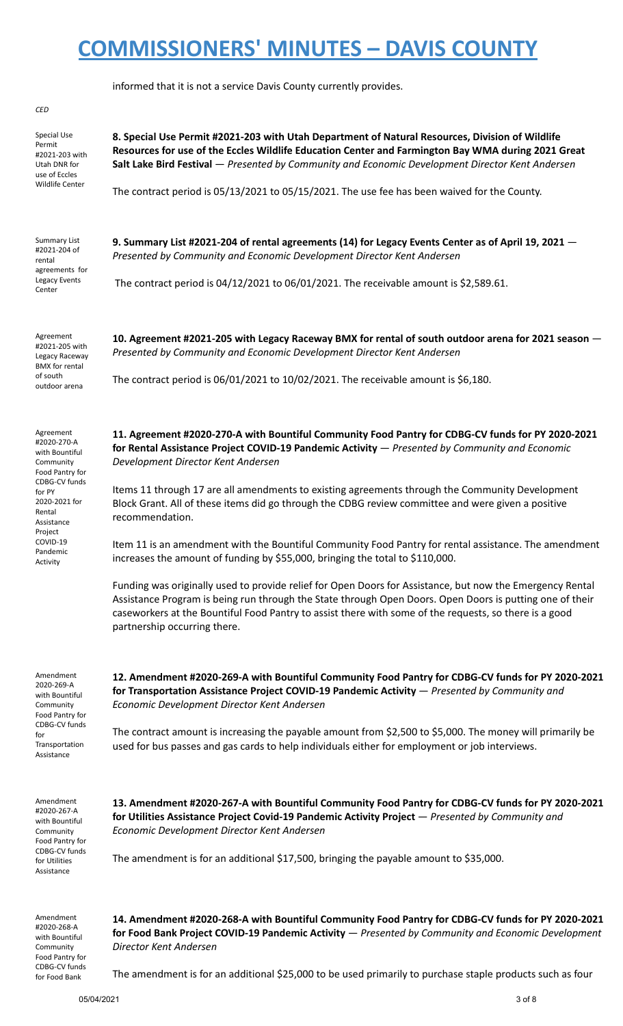informed that it is not a service Davis County currently provides.

#### *CED* Special Use Permit #2021-203 with **8. Special Use Permit #2021-203 with Utah Department of Natural Resources, Division of Wildlife** Summary List #2021-204 of rental agreements for Legacy Events Center *Presented by Community and Economic Development Director Kent Andersen* Agreement #2021-205 with Legacy Raceway BMX for rental of south outdoor arena **10. Agreement #2021-205 with Legacy Raceway BMX for rental of south outdoor arena for 2021 season** — *Presented by Community and Economic Development Director Kent Andersen* The contract period is 06/01/2021 to 10/02/2021. The receivable amount is \$6,180. Agreement #2020-270-A with Bountiful Community Food Pantry for CDBG-CV funds for PY 2020-2021 for Rental Assistance Project COVID-19 Pandemic **11. Agreement #2020-270-A with Bountiful Community Food Pantry for CDBG-CV funds for PY 2020-2021 for Rental Assistance Project COVID-19 Pandemic Activity** — *Presented by Community and Economic Development Director Kent Andersen* Items 11 through 17 are all amendments to existing agreements through the Community Development Block Grant. All of these items did go through the CDBG review committee and were given a positive recommendation. Item 11 is an amendment with the Bountiful Community Food Pantry for rental assistance. The amendment

increases the amount of funding by \$55,000, bringing the total to \$110,000. Funding was originally used to provide relief for Open Doors for Assistance, but now the Emergency Rental Assistance Program is being run through the State through Open Doors. Open Doors is putting one of their caseworkers at the Bountiful Food Pantry to assist there with some of the requests, so there is a good

Amendment 2020-269-A with Bountiful Community Food Pantry for CDBG-CV funds for Transportation Assistance

partnership occurring there.

Activity

**12. Amendment #2020-269-A with Bountiful Community Food Pantry for CDBG-CV funds for PY 2020-2021 for Transportation Assistance Project COVID-19 Pandemic Activity** — *Presented by Community and Economic Development Director Kent Andersen*

The contract amount is increasing the payable amount from \$2,500 to \$5,000. The money will primarily be used for bus passes and gas cards to help individuals either for employment or job interviews.

Amendment #2020-267-A with Bountiful Community Food Pantry for CDBG-CV funds for Utilities Assistance

**13. Amendment #2020-267-A with Bountiful Community Food Pantry for CDBG-CV funds for PY 2020-2021 for Utilities Assistance Project Covid-19 Pandemic Activity Project** — *Presented by Community and Economic Development Director Kent Andersen*

The amendment is for an additional \$17,500, bringing the payable amount to \$35,000.

Amendment #2020-268-A with Bountiful Community Food Pantry for CDBG-CV funds for Food Bank

**14. Amendment #2020-268-A with Bountiful Community Food Pantry for CDBG-CV funds for PY 2020-2021 for Food Bank Project COVID-19 Pandemic Activity** — *Presented by Community and Economic Development Director Kent Andersen*

The amendment is for an additional \$25,000 to be used primarily to purchase staple products such as four

Utah DNR for use of Eccles Wildlife Center **Resources for use of the Eccles Wildlife Education Center and Farmington Bay WMA during 2021 Great Salt Lake Bird Festival** — *Presented by Community and Economic Development Director Kent Andersen*

The contract period is 05/13/2021 to 05/15/2021. The use fee has been waived for the County.

**9. Summary List #2021-204 of rental agreements (14) for Legacy Events Center as of April 19, 2021** —

The contract period is 04/12/2021 to 06/01/2021. The receivable amount is \$2,589.61.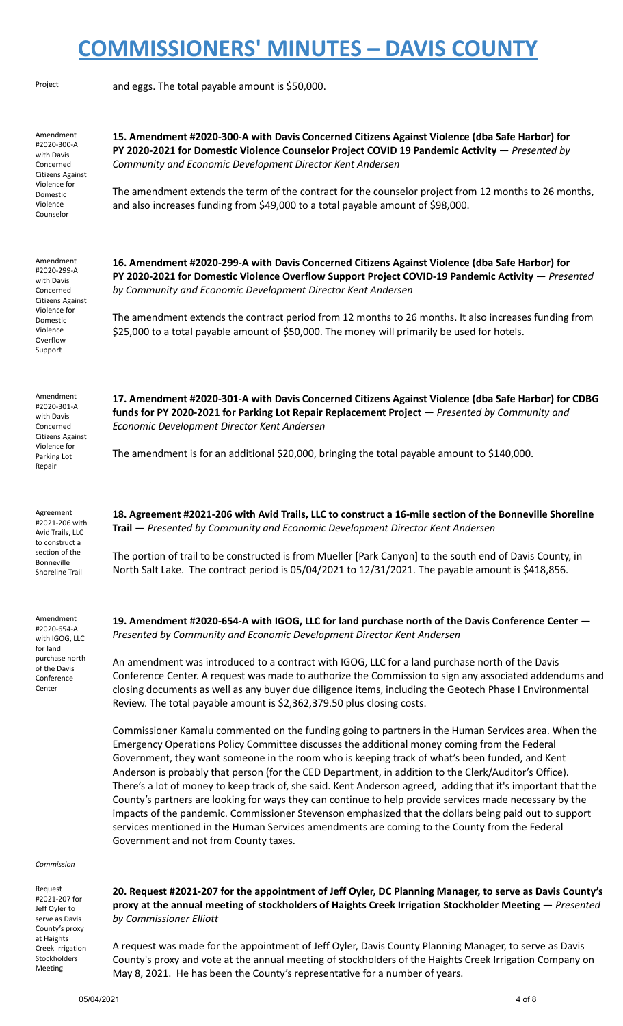| Project                                                                                                                                | and eggs. The total payable amount is \$50,000.                                                                                                                                                                                                                                                                                                                                                                                                                                                                                                                                                                                                                                                                                                                                                                                                                                                                                                                                                                                                                                                                                                                                                                                                                                                                                                                                                                                                                               |  |
|----------------------------------------------------------------------------------------------------------------------------------------|-------------------------------------------------------------------------------------------------------------------------------------------------------------------------------------------------------------------------------------------------------------------------------------------------------------------------------------------------------------------------------------------------------------------------------------------------------------------------------------------------------------------------------------------------------------------------------------------------------------------------------------------------------------------------------------------------------------------------------------------------------------------------------------------------------------------------------------------------------------------------------------------------------------------------------------------------------------------------------------------------------------------------------------------------------------------------------------------------------------------------------------------------------------------------------------------------------------------------------------------------------------------------------------------------------------------------------------------------------------------------------------------------------------------------------------------------------------------------------|--|
| Amendment<br>#2020-300-A<br>with Davis<br>Concerned<br>Citizens Against<br>Violence for<br>Domestic<br>Violence<br>Counselor           | 15. Amendment #2020-300-A with Davis Concerned Citizens Against Violence (dba Safe Harbor) for<br>PY 2020-2021 for Domestic Violence Counselor Project COVID 19 Pandemic Activity - Presented by<br>Community and Economic Development Director Kent Andersen<br>The amendment extends the term of the contract for the counselor project from 12 months to 26 months,<br>and also increases funding from \$49,000 to a total payable amount of \$98,000.                                                                                                                                                                                                                                                                                                                                                                                                                                                                                                                                                                                                                                                                                                                                                                                                                                                                                                                                                                                                                     |  |
| Amendment<br>#2020-299-A<br>with Davis<br>Concerned<br>Citizens Against<br>Violence for<br>Domestic<br>Violence<br>Overflow<br>Support | 16. Amendment #2020-299-A with Davis Concerned Citizens Against Violence (dba Safe Harbor) for<br>PY 2020-2021 for Domestic Violence Overflow Support Project COVID-19 Pandemic Activity $-$ Presented<br>by Community and Economic Development Director Kent Andersen<br>The amendment extends the contract period from 12 months to 26 months. It also increases funding from<br>\$25,000 to a total payable amount of \$50,000. The money will primarily be used for hotels.                                                                                                                                                                                                                                                                                                                                                                                                                                                                                                                                                                                                                                                                                                                                                                                                                                                                                                                                                                                               |  |
| Amendment<br>#2020-301-A<br>with Davis<br>Concerned<br>Citizens Against<br>Violence for<br>Parking Lot<br>Repair                       | 17. Amendment #2020-301-A with Davis Concerned Citizens Against Violence (dba Safe Harbor) for CDBG<br>funds for PY 2020-2021 for Parking Lot Repair Replacement Project - Presented by Community and<br>Economic Development Director Kent Andersen<br>The amendment is for an additional \$20,000, bringing the total payable amount to \$140,000.                                                                                                                                                                                                                                                                                                                                                                                                                                                                                                                                                                                                                                                                                                                                                                                                                                                                                                                                                                                                                                                                                                                          |  |
| Agreement<br>#2021-206 with<br>Avid Trails, LLC<br>to construct a<br>section of the<br>Bonneville<br>Shoreline Trail                   | 18. Agreement #2021-206 with Avid Trails, LLC to construct a 16-mile section of the Bonneville Shoreline<br>Trail - Presented by Community and Economic Development Director Kent Andersen<br>The portion of trail to be constructed is from Mueller [Park Canyon] to the south end of Davis County, in<br>North Salt Lake. The contract period is 05/04/2021 to 12/31/2021. The payable amount is \$418,856.                                                                                                                                                                                                                                                                                                                                                                                                                                                                                                                                                                                                                                                                                                                                                                                                                                                                                                                                                                                                                                                                 |  |
| Amendment<br>#2020-654-A<br>with IGOG, LLC<br>for land<br>purchase north<br>of the Davis<br>Conference<br>Center<br>Commission         | 19. Amendment #2020-654-A with IGOG, LLC for land purchase north of the Davis Conference Center -<br>Presented by Community and Economic Development Director Kent Andersen<br>An amendment was introduced to a contract with IGOG, LLC for a land purchase north of the Davis<br>Conference Center. A request was made to authorize the Commission to sign any associated addendums and<br>closing documents as well as any buyer due diligence items, including the Geotech Phase I Environmental<br>Review. The total payable amount is \$2,362,379.50 plus closing costs.<br>Commissioner Kamalu commented on the funding going to partners in the Human Services area. When the<br>Emergency Operations Policy Committee discusses the additional money coming from the Federal<br>Government, they want someone in the room who is keeping track of what's been funded, and Kent<br>Anderson is probably that person (for the CED Department, in addition to the Clerk/Auditor's Office).<br>There's a lot of money to keep track of, she said. Kent Anderson agreed, adding that it's important that the<br>County's partners are looking for ways they can continue to help provide services made necessary by the<br>impacts of the pandemic. Commissioner Stevenson emphasized that the dollars being paid out to support<br>services mentioned in the Human Services amendments are coming to the County from the Federal<br>Government and not from County taxes. |  |
| Request<br>#2021-207 for<br>Jeff Oyler to<br>serve as Davis                                                                            | 20. Request #2021-207 for the appointment of Jeff Oyler, DC Planning Manager, to serve as Davis County's<br>proxy at the annual meeting of stockholders of Haights Creek Irrigation Stockholder Meeting - Presented<br>by Commissioner Elliott                                                                                                                                                                                                                                                                                                                                                                                                                                                                                                                                                                                                                                                                                                                                                                                                                                                                                                                                                                                                                                                                                                                                                                                                                                |  |

A request was made for the appointment of Jeff Oyler, Davis County Planning Manager, to serve as Davis County's proxy and vote at the annual meeting of stockholders of the Haights Creek Irrigation Company on May 8, 2021. He has been the County's representative for a number of years.

County's proxy at Haights Creek Irrigation Stockholders Meeting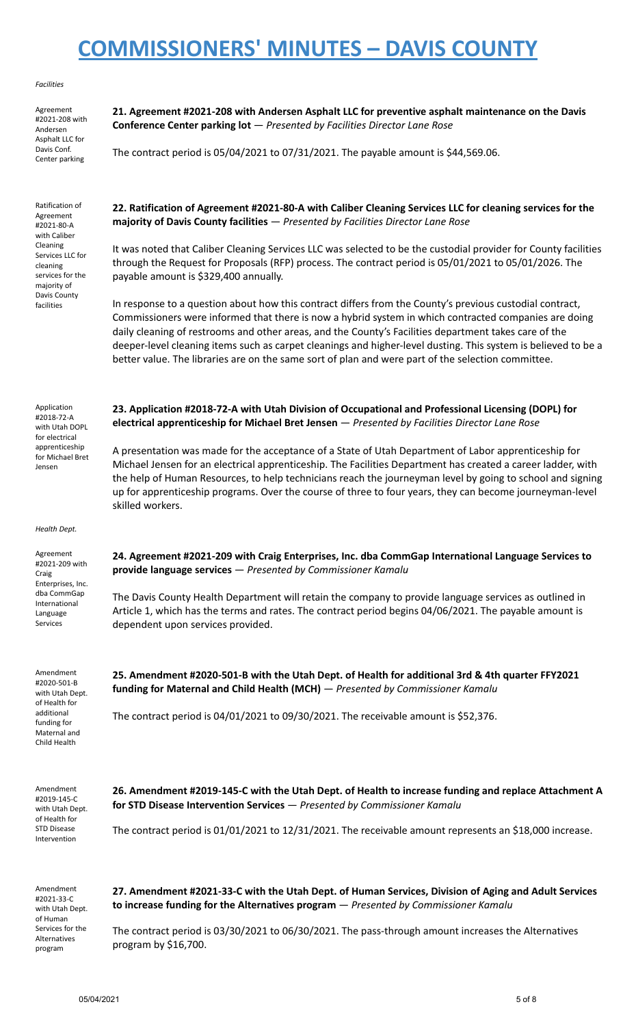#### *Facilities*

Agreement #2021-208 with Andersen Asphalt LLC for Davis Conf. Center parking

Ratification of Agreement #2021-80-A with Caliber Cleaning Services LLC for cleaning services for the majority of Davis County facilities

**21. Agreement #2021-208 with Andersen Asphalt LLC for preventive asphalt maintenance on the Davis Conference Center parking lot** — *Presented by Facilities Director Lane Rose*

The contract period is 05/04/2021 to 07/31/2021. The payable amount is \$44,569.06.

**22. Ratification of Agreement #2021-80-A with Caliber Cleaning Services LLC for cleaning services for the majority of Davis County facilities** — *Presented by Facilities Director Lane Rose*

It was noted that Caliber Cleaning Services LLC was selected to be the custodial provider for County facilities through the Request for Proposals (RFP) process. The contract period is 05/01/2021 to 05/01/2026. The payable amount is \$329,400 annually.

In response to a question about how this contract differs from the County's previous custodial contract, Commissioners were informed that there is now a hybrid system in which contracted companies are doing daily cleaning of restrooms and other areas, and the County's Facilities department takes care of the deeper-level cleaning items such as carpet cleanings and higher-level dusting. This system is believed to be a better value. The libraries are on the same sort of plan and were part of the selection committee.

**23. Application #2018-72-A with Utah Division of Occupational and Professional Licensing (DOPL) for**

A presentation was made for the acceptance of a State of Utah Department of Labor apprenticeship for Michael Jensen for an electrical apprenticeship. The Facilities Department has created a career ladder, with the help of Human Resources, to help technicians reach the journeyman level by going to school and signing up for apprenticeship programs. Over the course of three to four years, they can become journeyman-level

**electrical apprenticeship for Michael Bret Jensen** — *Presented by Facilities Director Lane Rose*

Application #2018-72-A with Utah DOPL for electrical apprenticeship for Michael Bret Jensen

*Health Dept.*

skilled workers.

Agreement #2021-209 with Craig Enterprises, Inc. dba CommGap International Language Services

Amendment #2020-501-B with Utah Dept. of Health for additional funding for Maternal and Child Health

**24. Agreement #2021-209 with Craig Enterprises, Inc. dba CommGap International Language Services to provide language services** — *Presented by Commissioner Kamalu*

The Davis County Health Department will retain the company to provide language services as outlined in Article 1, which has the terms and rates. The contract period begins 04/06/2021. The payable amount is dependent upon services provided.

**25. Amendment #2020-501-B with the Utah Dept. of Health for additional 3rd & 4th quarter FFY2021 funding for Maternal and Child Health (MCH)** — *Presented by Commissioner Kamalu*

The contract period is 04/01/2021 to 09/30/2021. The receivable amount is \$52,376.

Amendment #2019-145-C with Utah Dept. of Health for STD Disease Intervention

**26. Amendment #2019-145-C with the Utah Dept. of Health to increase funding and replace Attachment A for STD Disease Intervention Services** — *Presented by Commissioner Kamalu*

The contract period is 01/01/2021 to 12/31/2021. The receivable amount represents an \$18,000 increase.

Amendment #2021-33-C with Utah Dept. of Human Services for the Alternatives program

**27. Amendment #2021-33-C with the Utah Dept. of Human Services, Division of Aging and Adult Services to increase funding for the Alternatives program** — *Presented by Commissioner Kamalu*

The contract period is 03/30/2021 to 06/30/2021. The pass-through amount increases the Alternatives program by \$16,700.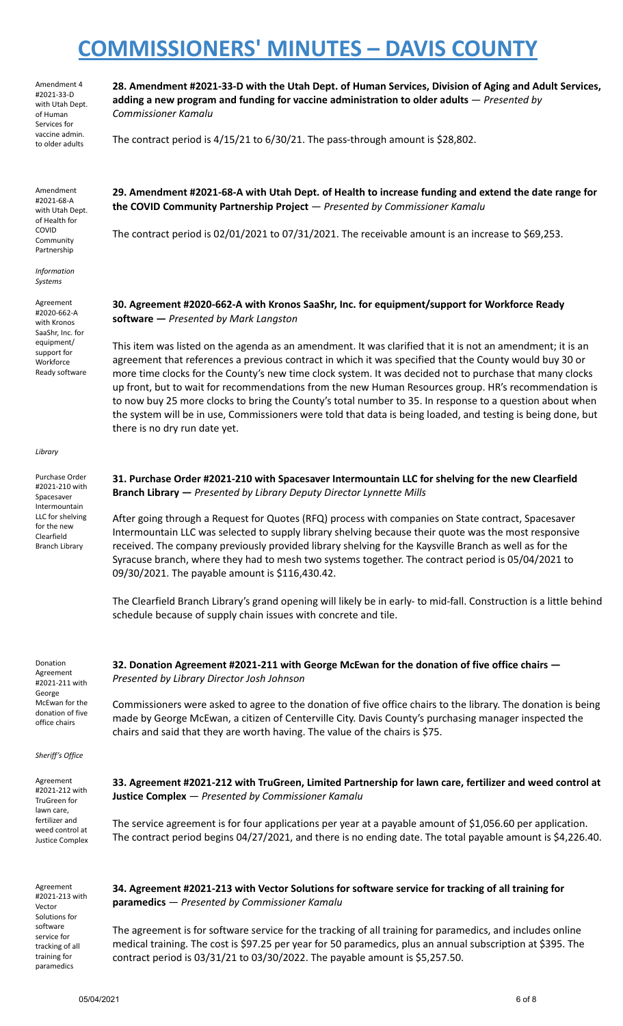Amendment 4 #2021-33-D with Utah Dept. of Human Services for vaccine admin. to older adults

Amendment #2021-68-A with Utah Dept. of Health for COVID **Community** Partnership

*Information Systems*

Agreement #2020-662-A with Kronos SaaShr, Inc. for equipment/ support for **Workforce** Ready software

*Library*

Purchase Order #2021-210 with Spacesaver Intermountain LLC for shelving for the new Clearfield Branch Library

**28. Amendment #2021-33-D with the Utah Dept. of Human Services, Division of Aging and Adult Services, adding a new program and funding for vaccine administration to older adults** — *Presented by Commissioner Kamalu*

The contract period is 4/15/21 to 6/30/21. The pass-through amount is \$28,802.

**29. Amendment #2021-68-A with Utah Dept. of Health to increase funding and extend the date range for the COVID Community Partnership Project** — *Presented by Commissioner Kamalu*

The contract period is 02/01/2021 to 07/31/2021. The receivable amount is an increase to \$69,253.

**30. Agreement #2020-662-A with Kronos SaaShr, Inc. for equipment/support for Workforce Ready software —** *Presented by Mark Langston*

This item was listed on the agenda as an amendment. It was clarified that it is not an amendment; it is an agreement that references a previous contract in which it was specified that the County would buy 30 or more time clocks for the County's new time clock system. It was decided not to purchase that many clocks up front, but to wait for recommendations from the new Human Resources group. HR's recommendation is to now buy 25 more clocks to bring the County's total number to 35. In response to a question about when the system will be in use, Commissioners were told that data is being loaded, and testing is being done, but there is no dry run date yet.

**31. Purchase Order #2021-210 with Spacesaver Intermountain LLC for shelving for the new Clearfield Branch Library —** *Presented by Library Deputy Director Lynnette Mills*

After going through a Request for Quotes (RFQ) process with companies on State contract, Spacesaver Intermountain LLC was selected to supply library shelving because their quote was the most responsive received. The company previously provided library shelving for the Kaysville Branch as well as for the Syracuse branch, where they had to mesh two systems together. The contract period is 05/04/2021 to 09/30/2021. The payable amount is \$116,430.42.

The Clearfield Branch Library's grand opening will likely be in early- to mid-fall. Construction is a little behind schedule because of supply chain issues with concrete and tile.

Donation Agreement #2021-211 with George McEwan for the donation of five office chairs

*Sheriff's Office*

Agreement #2021-212 with TruGreen for lawn care, fertilizer and weed control at Justice Complex

Agreement #2021-213 with Vector Solutions for software service for tracking of all training for paramedics

**32. Donation Agreement #2021-211 with George McEwan for the donation of five office chairs —** *Presented by Library Director Josh Johnson*

Commissioners were asked to agree to the donation of five office chairs to the library. The donation is being made by George McEwan, a citizen of Centerville City. Davis County's purchasing manager inspected the chairs and said that they are worth having. The value of the chairs is \$75.

**33. Agreement #2021-212 with TruGreen, Limited Partnership for lawn care, fertilizer and weed control at Justice Complex** — *Presented by Commissioner Kamalu*

The service agreement is for four applications per year at a payable amount of \$1,056.60 per application. The contract period begins 04/27/2021, and there is no ending date. The total payable amount is \$4,226.40.

**34. Agreement #2021-213 with Vector Solutions for software service for tracking of all training for paramedics** — *Presented by Commissioner Kamalu*

The agreement is for software service for the tracking of all training for paramedics, and includes online medical training. The cost is \$97.25 per year for 50 paramedics, plus an annual subscription at \$395. The contract period is 03/31/21 to 03/30/2022. The payable amount is \$5,257.50.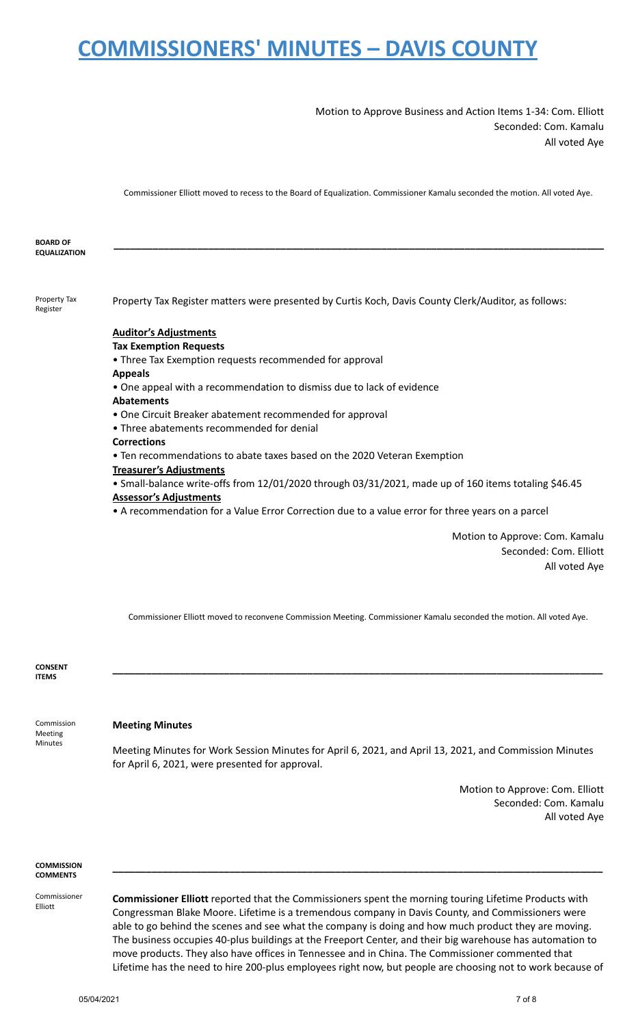Motion to Approve Business and Action Items 1-34: Com. Elliott Seconded: Com. Kamalu All voted Aye

Commissioner Elliott moved to recess to the Board of Equalization. Commissioner Kamalu seconded the motion. All voted Aye.

**BOARD OF EQUALIZATION \_\_\_\_\_\_\_\_\_\_\_\_\_\_\_\_\_\_\_\_\_\_\_\_\_\_\_\_\_\_\_\_\_\_\_\_\_\_\_\_\_\_\_\_\_\_\_\_\_\_\_\_\_\_\_\_\_\_\_\_\_\_\_\_\_\_\_\_\_\_\_\_\_\_\_\_\_\_\_\_\_\_\_\_\_\_\_\_** Property Tax Register Property Tax Register matters were presented by Curtis Koch, Davis County Clerk/Auditor, as follows: **Auditor's Adjustments Tax Exemption Requests** • Three Tax Exemption requests recommended for approval **Appeals** • One appeal with a recommendation to dismiss due to lack of evidence **Abatements** • One Circuit Breaker abatement recommended for approval • Three abatements recommended for denial **Corrections** • Ten recommendations to abate taxes based on the 2020 Veteran Exemption **Treasurer's Adjustments**

## • Small-balance write-offs from 12/01/2020 through 03/31/2021, made up of 160 items totaling \$46.45 **Assessor's Adjustments**

• A recommendation for a Value Error Correction due to a value error for three years on a parcel

Motion to Approve: Com. Kamalu Seconded: Com. Elliott All voted Aye

Commissioner Elliott moved to reconvene Commission Meeting. Commissioner Kamalu seconded the motion. All voted Aye.

**\_\_\_\_\_\_\_\_\_\_\_\_\_\_\_\_\_\_\_\_\_\_\_\_\_\_\_\_\_\_\_\_\_\_\_\_\_\_\_\_\_\_\_\_\_\_\_\_\_\_\_\_\_\_\_\_\_\_\_\_\_\_\_\_\_\_\_\_\_\_\_\_\_\_\_\_\_\_\_\_\_\_\_\_\_\_\_\_**

**CONSENT ITEMS**

### **Meeting Minutes**

Commission Meeting Minutes

Meeting Minutes for Work Session Minutes for April 6, 2021, and April 13, 2021, and Commission Minutes for April 6, 2021, were presented for approval.

> Motion to Approve: Com. Elliott Seconded: Com. Kamalu All voted Aye

#### **COMMISSION COMMENTS**

Commissioner Elliott

**Commissioner Elliott** reported that the Commissioners spent the morning touring Lifetime Products with Congressman Blake Moore. Lifetime is a tremendous company in Davis County, and Commissioners were able to go behind the scenes and see what the company is doing and how much product they are moving. The business occupies 40-plus buildings at the Freeport Center, and their big warehouse has automation to move products. They also have offices in Tennessee and in China. The Commissioner commented that Lifetime has the need to hire 200-plus employees right now, but people are choosing not to work because of

**\_\_\_\_\_\_\_\_\_\_\_\_\_\_\_\_\_\_\_\_\_\_\_\_\_\_\_\_\_\_\_\_\_\_\_\_\_\_\_\_\_\_\_\_\_\_\_\_\_\_\_\_\_\_\_\_\_\_\_\_\_\_\_\_\_\_\_\_\_\_\_\_\_\_\_\_\_\_\_\_\_\_\_\_\_\_\_\_**